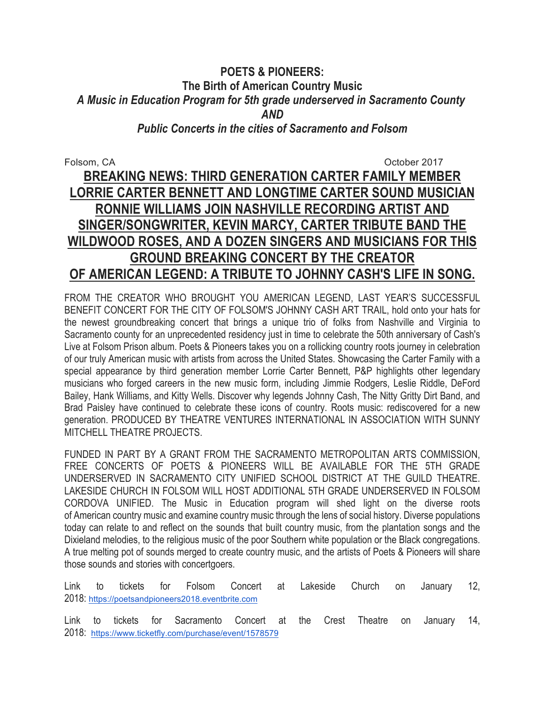## **POETS & PIONEERS: The Birth of American Country Music** *A Music in Education Program for 5th grade underserved in Sacramento County AND Public Concerts in the cities of Sacramento and Folsom*

# Folsom, CA **October 2017 BREAKING NEWS: THIRD GENERATION CARTER FAMILY MEMBER LORRIE CARTER BENNETT AND LONGTIME CARTER SOUND MUSICIAN RONNIE WILLIAMS JOIN NASHVILLE RECORDING ARTIST AND SINGER/SONGWRITER, KEVIN MARCY, CARTER TRIBUTE BAND THE WILDWOOD ROSES, AND A DOZEN SINGERS AND MUSICIANS FOR THIS GROUND BREAKING CONCERT BY THE CREATOR OF AMERICAN LEGEND: A TRIBUTE TO JOHNNY CASH'S LIFE IN SONG.**

FROM THE CREATOR WHO BROUGHT YOU AMERICAN LEGEND, LAST YEAR'S SUCCESSFUL BENEFIT CONCERT FOR THE CITY OF FOLSOM'S JOHNNY CASH ART TRAIL, hold onto your hats for the newest groundbreaking concert that brings a unique trio of folks from Nashville and Virginia to Sacramento county for an unprecedented residency just in time to celebrate the 50th anniversary of Cash's Live at Folsom Prison album. Poets & Pioneers takes you on a rollicking country roots journey in celebration of our truly American music with artists from across the United States. Showcasing the Carter Family with a special appearance by third generation member Lorrie Carter Bennett, P&P highlights other legendary musicians who forged careers in the new music form, including Jimmie Rodgers, Leslie Riddle, DeFord Bailey, Hank Williams, and Kitty Wells. Discover why legends Johnny Cash, The Nitty Gritty Dirt Band, and Brad Paisley have continued to celebrate these icons of country. Roots music: rediscovered for a new generation. PRODUCED BY THEATRE VENTURES INTERNATIONAL IN ASSOCIATION WITH SUNNY MITCHELL THEATRE PROJECTS.

FUNDED IN PART BY A GRANT FROM THE SACRAMENTO METROPOLITAN ARTS COMMISSION, FREE CONCERTS OF POETS & PIONEERS WILL BE AVAILABLE FOR THE 5TH GRADE UNDERSERVED IN SACRAMENTO CITY UNIFIED SCHOOL DISTRICT AT THE GUILD THEATRE. LAKESIDE CHURCH IN FOLSOM WILL HOST ADDITIONAL 5TH GRADE UNDERSERVED IN FOLSOM CORDOVA UNIFIED. The Music in Education program will shed light on the diverse roots of American country music and examine country music through the lens of social history. Diverse populations today can relate to and reflect on the sounds that built country music, from the plantation songs and the Dixieland melodies, to the religious music of the poor Southern white population or the Black congregations. A true melting pot of sounds merged to create country music, and the artists of Poets & Pioneers will share those sounds and stories with concertgoers.

Link to tickets for Folsom Concert at Lakeside Church on January 12, 2018: https://poetsandpioneers2018.eventbrite.com

Link to tickets for Sacramento Concert at the Crest Theatre on January 14, 2018: https://www.ticketfly.com/purchase/event/1578579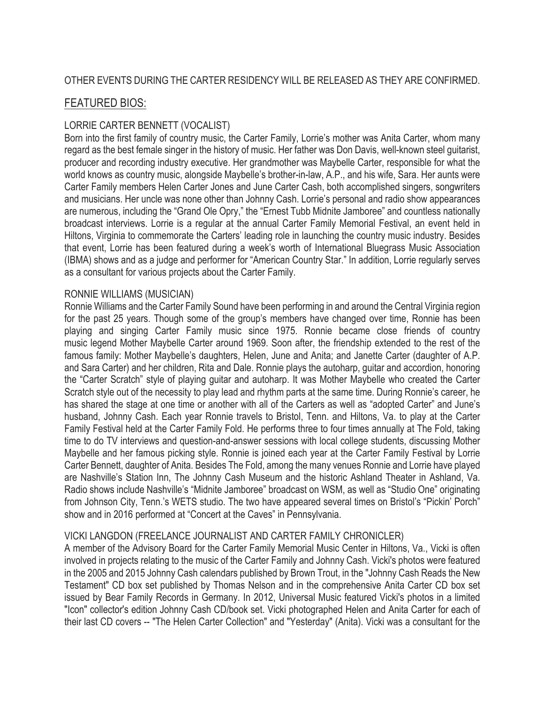## FEATURED BIOS:

## LORRIE CARTER BENNETT (VOCALIST)

Born into the first family of country music, the Carter Family, Lorrie's mother was Anita Carter, whom many regard as the best female singer in the history of music. Her father was Don Davis, well-known steel guitarist, producer and recording industry executive. Her grandmother was Maybelle Carter, responsible for what the world knows as country music, alongside Maybelle's brother-in-law, A.P., and his wife, Sara. Her aunts were Carter Family members Helen Carter Jones and June Carter Cash, both accomplished singers, songwriters and musicians. Her uncle was none other than Johnny Cash. Lorrie's personal and radio show appearances are numerous, including the "Grand Ole Opry," the "Ernest Tubb Midnite Jamboree" and countless nationally broadcast interviews. Lorrie is a regular at the annual Carter Family Memorial Festival, an event held in Hiltons, Virginia to commemorate the Carters' leading role in launching the country music industry. Besides that event, Lorrie has been featured during a week's worth of International Bluegrass Music Association (IBMA) shows and as a judge and performer for "American Country Star." In addition, Lorrie regularly serves as a consultant for various projects about the Carter Family.

#### RONNIE WILLIAMS (MUSICIAN)

Ronnie Williams and the Carter Family Sound have been performing in and around the Central Virginia region for the past 25 years. Though some of the group's members have changed over time, Ronnie has been playing and singing Carter Family music since 1975. Ronnie became close friends of country music legend Mother Maybelle Carter around 1969. Soon after, the friendship extended to the rest of the famous family: Mother Maybelle's daughters, Helen, June and Anita; and Janette Carter (daughter of A.P. and Sara Carter) and her children, Rita and Dale. Ronnie plays the autoharp, guitar and accordion, honoring the "Carter Scratch" style of playing guitar and autoharp. It was Mother Maybelle who created the Carter Scratch style out of the necessity to play lead and rhythm parts at the same time. During Ronnie's career, he has shared the stage at one time or another with all of the Carters as well as "adopted Carter" and June's husband, Johnny Cash. Each year Ronnie travels to Bristol, Tenn. and Hiltons, Va. to play at the Carter Family Festival held at the Carter Family Fold. He performs three to four times annually at The Fold, taking time to do TV interviews and question-and-answer sessions with local college students, discussing Mother Maybelle and her famous picking style. Ronnie is joined each year at the Carter Family Festival by Lorrie Carter Bennett, daughter of Anita. Besides The Fold, among the many venues Ronnie and Lorrie have played are Nashville's Station Inn, The Johnny Cash Museum and the historic Ashland Theater in Ashland, Va. Radio shows include Nashville's "Midnite Jamboree" broadcast on WSM, as well as "Studio One" originating from Johnson City, Tenn.'s WETS studio. The two have appeared several times on Bristol's "Pickin' Porch" show and in 2016 performed at "Concert at the Caves" in Pennsylvania.

### VICKI LANGDON (FREELANCE JOURNALIST AND CARTER FAMILY CHRONICLER)

A member of the Advisory Board for the Carter Family Memorial Music Center in Hiltons, Va., Vicki is often involved in projects relating to the music of the Carter Family and Johnny Cash. Vicki's photos were featured in the 2005 and 2015 Johnny Cash calendars published by Brown Trout, in the "Johnny Cash Reads the New Testament" CD box set published by Thomas Nelson and in the comprehensive Anita Carter CD box set issued by Bear Family Records in Germany. In 2012, Universal Music featured Vicki's photos in a limited "Icon" collector's edition Johnny Cash CD/book set. Vicki photographed Helen and Anita Carter for each of their last CD covers -- "The Helen Carter Collection" and "Yesterday" (Anita). Vicki was a consultant for the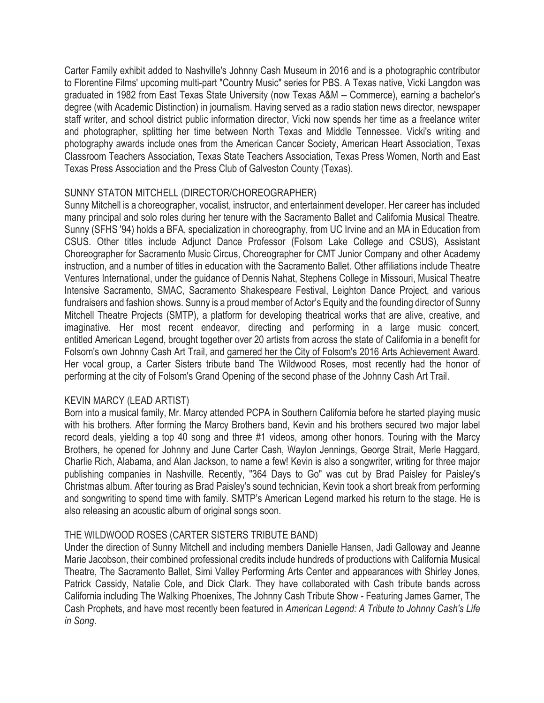Carter Family exhibit added to Nashville's Johnny Cash Museum in 2016 and is a photographic contributor to Florentine Films' upcoming multi-part "Country Music" series for PBS. A Texas native, Vicki Langdon was graduated in 1982 from East Texas State University (now Texas A&M -- Commerce), earning a bachelor's degree (with Academic Distinction) in journalism. Having served as a radio station news director, newspaper staff writer, and school district public information director, Vicki now spends her time as a freelance writer and photographer, splitting her time between North Texas and Middle Tennessee. Vicki's writing and photography awards include ones from the American Cancer Society, American Heart Association, Texas Classroom Teachers Association, Texas State Teachers Association, Texas Press Women, North and East Texas Press Association and the Press Club of Galveston County (Texas).

#### SUNNY STATON MITCHELL (DIRECTOR/CHOREOGRAPHER)

Sunny Mitchell is a choreographer, vocalist, instructor, and entertainment developer. Her career has included many principal and solo roles during her tenure with the Sacramento Ballet and California Musical Theatre. Sunny (SFHS '94) holds a BFA, specialization in choreography, from UC Irvine and an MA in Education from CSUS. Other titles include Adjunct Dance Professor (Folsom Lake College and CSUS), Assistant Choreographer for Sacramento Music Circus, Choreographer for CMT Junior Company and other Academy instruction, and a number of titles in education with the Sacramento Ballet. Other affiliations include Theatre Ventures International, under the guidance of Dennis Nahat, Stephens College in Missouri, Musical Theatre Intensive Sacramento, SMAC, Sacramento Shakespeare Festival, Leighton Dance Project, and various fundraisers and fashion shows. Sunny is a proud member of Actor's Equity and the founding director of Sunny Mitchell Theatre Projects (SMTP), a platform for developing theatrical works that are alive, creative, and imaginative. Her most recent endeavor, directing and performing in a large music concert, entitled American Legend, brought together over 20 artists from across the state of California in a benefit for Folsom's own Johnny Cash Art Trail, and garnered her the City of Folsom's 2016 Arts Achievement Award. Her vocal group, a Carter Sisters tribute band The Wildwood Roses, most recently had the honor of performing at the city of Folsom's Grand Opening of the second phase of the Johnny Cash Art Trail.

#### KEVIN MARCY (LEAD ARTIST)

Born into a musical family, Mr. Marcy attended PCPA in Southern California before he started playing music with his brothers. After forming the Marcy Brothers band, Kevin and his brothers secured two major label record deals, yielding a top 40 song and three #1 videos, among other honors. Touring with the Marcy Brothers, he opened for Johnny and June Carter Cash, Waylon Jennings, George Strait, Merle Haggard, Charlie Rich, Alabama, and Alan Jackson, to name a few! Kevin is also a songwriter, writing for three major publishing companies in Nashville. Recently, "364 Days to Go" was cut by Brad Paisley for Paisley's Christmas album. After touring as Brad Paisley's sound technician, Kevin took a short break from performing and songwriting to spend time with family. SMTP's American Legend marked his return to the stage. He is also releasing an acoustic album of original songs soon.

#### THE WILDWOOD ROSES (CARTER SISTERS TRIBUTE BAND)

Under the direction of Sunny Mitchell and including members Danielle Hansen, Jadi Galloway and Jeanne Marie Jacobson, their combined professional credits include hundreds of productions with California Musical Theatre, The Sacramento Ballet, Simi Valley Performing Arts Center and appearances with Shirley Jones, Patrick Cassidy, Natalie Cole, and Dick Clark. They have collaborated with Cash tribute bands across California including The Walking Phoenixes, The Johnny Cash Tribute Show - Featuring James Garner, The Cash Prophets, and have most recently been featured in *American Legend: A Tribute to Johnny Cash's Life in Song*.